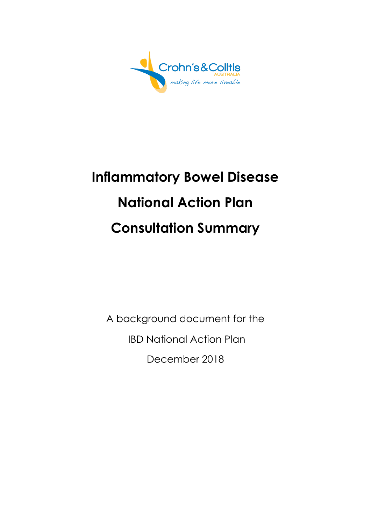

# **Inflammatory Bowel Disease National Action Plan Consultation Summary**

A background document for the IBD National Action Plan December 2018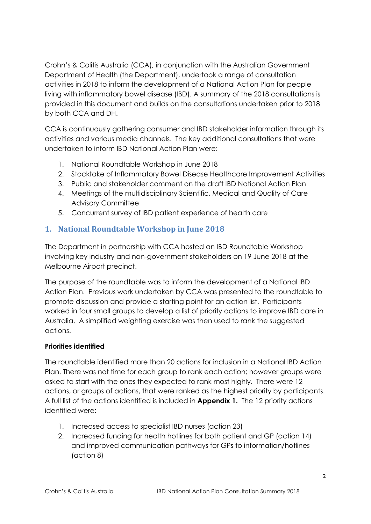Crohn's & Colitis Australia (CCA), in conjunction with the Australian Government Department of Health (the Department), undertook a range of consultation activities in 2018 to inform the development of a National Action Plan for people living with inflammatory bowel disease (IBD). A summary of the 2018 consultations is provided in this document and builds on the consultations undertaken prior to 2018 by both CCA and DH.

CCA is continuously gathering consumer and IBD stakeholder information through its activities and various media channels. The key additional consultations that were undertaken to inform IBD National Action Plan were:

- 1. National Roundtable Workshop in June 2018
- 2. Stocktake of Inflammatory Bowel Disease Healthcare Improvement Activities
- 3. Public and stakeholder comment on the draft IBD National Action Plan
- 4. Meetings of the multidisciplinary Scientific, Medical and Quality of Care Advisory Committee
- 5. Concurrent survey of IBD patient experience of health care

## **1. National Roundtable Workshop in June 2018**

The Department in partnership with CCA hosted an IBD Roundtable Workshop involving key industry and non-government stakeholders on 19 June 2018 at the Melbourne Airport precinct.

The purpose of the roundtable was to inform the development of a National IBD Action Plan. Previous work undertaken by CCA was presented to the roundtable to promote discussion and provide a starting point for an action list. Participants worked in four small groups to develop a list of priority actions to improve IBD care in Australia. A simplified weighting exercise was then used to rank the suggested actions.

#### **Priorities identified**

The roundtable identified more than 20 actions for inclusion in a National IBD Action Plan. There was not time for each group to rank each action; however groups were asked to start with the ones they expected to rank most highly. There were 12 actions, or groups of actions, that were ranked as the highest priority by participants. A full list of the actions identified is included in **Appendix 1.** The 12 priority actions identified were:

- 1. Increased access to specialist IBD nurses (action 23)
- 2. Increased funding for health hotlines for both patient and GP (action 14) and improved communication pathways for GPs to information/hotlines (action 8)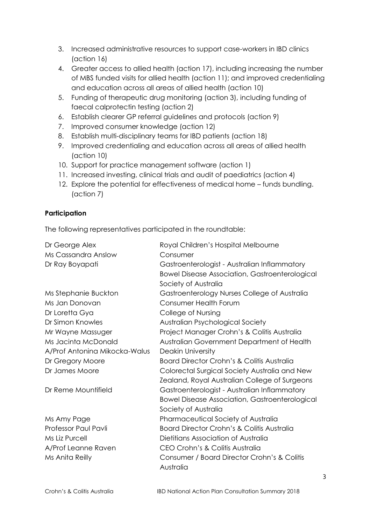- 3. Increased administrative resources to support case-workers in IBD clinics (action 16)
- 4. Greater access to allied health (action 17), including increasing the number of MBS funded visits for allied health (action 11); and improved credentialing and education across all areas of allied health (action 10)
- 5. Funding of therapeutic drug monitoring (action 3), including funding of faecal calprotectin testing (action 2)
- 6. Establish clearer GP referral guidelines and protocols (action 9)
- 7. Improved consumer knowledge (action 12)
- 8. Establish multi-disciplinary teams for IBD patients (action 18)
- 9. Improved credentialing and education across all areas of allied health (action 10)
- 10. Support for practice management software (action 1)
- 11. Increased investing, clinical trials and audit of paediatrics (action 4)
- 12. Explore the potential for effectiveness of medical home funds bundling. (action 7)

#### **Participation**

The following representatives participated in the roundtable:

| Dr George Alex                | Royal Children's Hospital Melbourne                   |
|-------------------------------|-------------------------------------------------------|
| Ms Cassandra Anslow           | Consumer                                              |
| Dr Ray Boyapati               | Gastroenterologist - Australian Inflammatory          |
|                               | <b>Bowel Disease Association, Gastroenterological</b> |
|                               | Society of Australia                                  |
| Ms Stephanie Buckton          | Gastroenterology Nurses College of Australia          |
| Ms Jan Donovan                | <b>Consumer Health Forum</b>                          |
| Dr Loretta Gya                | College of Nursing                                    |
| Dr Simon Knowles              | Australian Psychological Society                      |
| Mr Wayne Massuger             | Project Manager Crohn's & Colitis Australia           |
| Ms Jacinta McDonald           | Australian Government Department of Health            |
| A/Prof Antonina Mikocka-Walus | <b>Deakin University</b>                              |
| Dr Gregory Moore              | Board Director Crohn's & Colitis Australia            |
| Dr James Moore                | Colorectal Surgical Society Australia and New         |
|                               | <b>Zealand, Royal Australian College of Surgeons</b>  |
| Dr Reme Mountifield           | Gastroenterologist - Australian Inflammatory          |
|                               | <b>Bowel Disease Association, Gastroenterological</b> |
|                               | Society of Australia                                  |
| Ms Amy Page                   | Pharmaceutical Society of Australia                   |
| <b>Professor Paul Pavli</b>   | <b>Board Director Crohn's &amp; Colitis Australia</b> |
| Ms Liz Purcell                | Dietitians Association of Australia                   |
| A/Prof Leanne Raven           | CEO Crohn's & Colitis Australia                       |
| Ms Anita Reilly               | Consumer / Board Director Crohn's & Colitis           |
|                               | Australia                                             |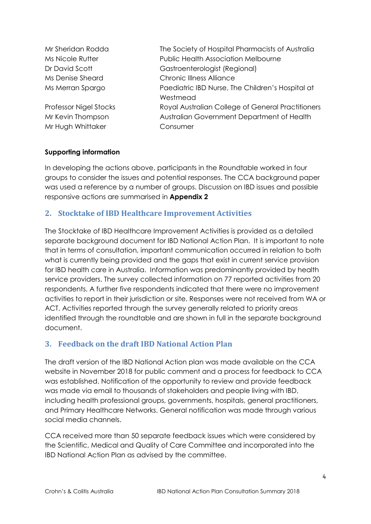Mr Sheridan Rodda The Society of Hospital Pharmacists of Australia Ms Nicole Rutter **National Public Health Association Melbourne** Dr David Scott Gastroenterologist (Regional) Ms Denise Sheard Chronic Illness Alliance Ms Merran Spargo Paediatric IBD Nurse, The Children's Hospital at Westmead Professor Nigel Stocks Royal Australian College of General Practitioners Mr Kevin Thompson Australian Government Department of Health Mr Hugh Whittaker Consumer

#### **Supporting information**

In developing the actions above, participants in the Roundtable worked in four groups to consider the issues and potential responses. The CCA background paper was used a reference by a number of groups. Discussion on IBD issues and possible responsive actions are summarised in **Appendix 2**

#### **2. Stocktake of IBD Healthcare Improvement Activities**

The Stocktake of IBD Healthcare Improvement Activities is provided as a detailed separate background document for IBD National Action Plan. It is important to note that in terms of consultation, important communication occurred in relation to both what is currently being provided and the gaps that exist in current service provision for IBD health care in Australia. Information was predominantly provided by health service providers. The survey collected information on 77 reported activities from 20 respondents. A further five respondents indicated that there were no improvement activities to report in their jurisdiction or site. Responses were not received from WA or ACT. Activities reported through the survey generally related to priority areas identified through the roundtable and are shown in full in the separate background document.

#### **3. Feedback on the draft IBD National Action Plan**

The draft version of the IBD National Action plan was made available on the CCA website in November 2018 for public comment and a process for feedback to CCA was established. Notification of the opportunity to review and provide feedback was made via email to thousands of stakeholders and people living with IBD, including health professional groups, governments, hospitals, general practitioners, and Primary Healthcare Networks. General notification was made through various social media channels.

CCA received more than 50 separate feedback issues which were considered by the Scientific, Medical and Quality of Care Committee and incorporated into the IBD National Action Plan as advised by the committee.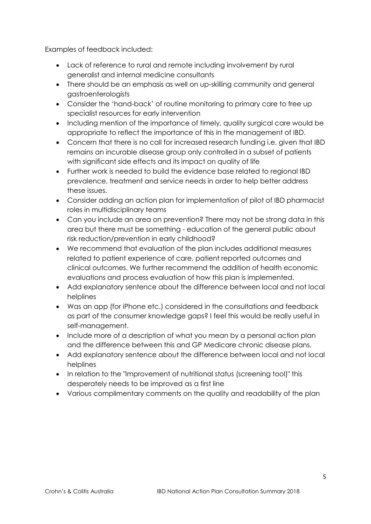Examples of feedback included:

- Lack of reference to rural and remote including involvement by rural generalist and internal medicine consultants
- There should be an emphasis as well on up-skilling community and general gastroenterologists
- Consider the 'hand-back' of routine monitoring to primary care to free up specialist resources for early intervention
- Including mention of the importance of timely, quality surgical care would be appropriate to reflect the importance of this in the management of IBD.
- Concern that there is no call for increased research funding i.e. given that IBD remains an incurable disease group only controlled in a subset of patients with significant side effects and its impact on quality of life
- Further work is needed to build the evidence base related to regional IBD prevalence, treatment and service needs in order to help better address these issues.
- Consider adding an action plan for implementation of pilot of IBD pharmacist roles in multidisciplinary teams
- Can you include an area on prevention? There may not be strong data in this area but there must be something - education of the general public about risk reduction/prevention in early childhood?
- We recommend that evaluation of the plan includes additional measures related to patient experience of care, patient reported outcomes and clinical outcomes. We further recommend the addition of health economic evaluations and process evaluation of how this plan is implemented.
- Add explanatory sentence about the difference between local and not local helplines
- Was an app (for iPhone etc.) considered in the consultations and feedback as part of the consumer knowledge gaps? I feel this would be really useful in self-management.
- Include more of a description of what you mean by a personal action plan and the difference between this and GP Medicare chronic disease plans.
- Add explanatory sentence about the difference between local and not local helplines
- In relation to the "Improvement of nutritional status (screening tool)" this desperately needs to be improved as a first line
- Various complimentary comments on the quality and readability of the plan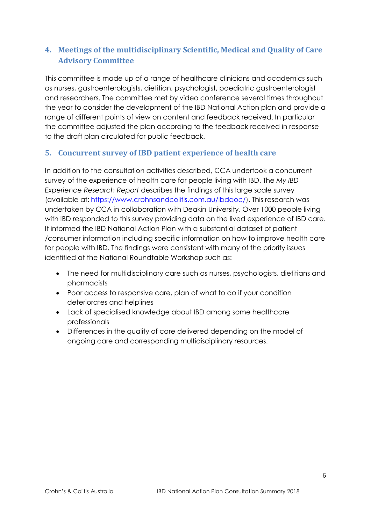## **4. Meetings of the multidisciplinary Scientific, Medical and Quality of Care Advisory Committee**

This committee is made up of a range of healthcare clinicians and academics such as nurses, gastroenterologists, dietitian, psychologist, paediatric gastroenterologist and researchers. The committee met by video conference several times throughout the year to consider the development of the IBD National Action plan and provide a range of different points of view on content and feedback received. In particular the committee adjusted the plan according to the feedback received in response to the draft plan circulated for public feedback.

### **5. Concurrent survey of IBD patient experience of health care**

In addition to the consultation activities described, CCA undertook a concurrent survey of the experience of health care for people living with IBD. The *My IBD Experience Research Report* describes the findings of this large scale survey (available at: [https://www.crohnsandcolitis.com.au/ibdqoc/\)](https://www.crohnsandcolitis.com.au/ibdqoc/). This research was undertaken by CCA in collaboration with Deakin University. Over 1000 people living with IBD responded to this survey providing data on the lived experience of IBD care. It informed the IBD National Action Plan with a substantial dataset of patient /consumer information including specific information on how to improve health care for people with IBD. The findings were consistent with many of the priority issues identified at the National Roundtable Workshop such as:

- The need for multidisciplinary care such as nurses, psychologists, dietitians and pharmacists
- Poor access to responsive care, plan of what to do if your condition deteriorates and helplines
- Lack of specialised knowledge about IBD among some healthcare professionals
- Differences in the quality of care delivered depending on the model of ongoing care and corresponding multidisciplinary resources.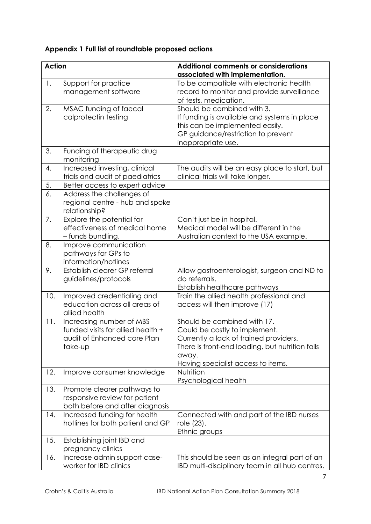## **Appendix 1 Full list of roundtable proposed actions**

| <b>Action</b> |                                                                                                         | <b>Additional comments or considerations</b><br>associated with implementation.                                                                                                                          |
|---------------|---------------------------------------------------------------------------------------------------------|----------------------------------------------------------------------------------------------------------------------------------------------------------------------------------------------------------|
| 1.            | Support for practice<br>management software                                                             | To be compatible with electronic health<br>record to monitor and provide surveillance<br>of tests, medication.                                                                                           |
| 2.            | MSAC funding of faecal<br>calprotectin testing                                                          | Should be combined with 3.<br>If funding is available and systems in place<br>this can be implemented easily.<br>GP guidance/restriction to prevent<br>inappropriate use.                                |
| 3.            | Funding of therapeutic drug<br>monitoring                                                               |                                                                                                                                                                                                          |
| 4.            | Increased investing, clinical<br>trials and audit of paediatrics                                        | The audits will be an easy place to start, but<br>clinical trials will take longer.                                                                                                                      |
| 5.            | Better access to expert advice                                                                          |                                                                                                                                                                                                          |
| 6.            | Address the challenges of<br>regional centre - hub and spoke<br>relationship?                           |                                                                                                                                                                                                          |
| 7.            | Explore the potential for<br>effectiveness of medical home<br>- funds bundling.                         | Can't just be in hospital.<br>Medical model will be different in the<br>Australian context to the USA example.                                                                                           |
| 8.            | Improve communication<br>pathways for GPs to<br>information/hotlines                                    |                                                                                                                                                                                                          |
| 9.            | Establish clearer GP referral<br>guidelines/protocols                                                   | Allow gastroenterologist, surgeon and ND to<br>do referrals.<br>Establish healthcare pathways                                                                                                            |
| 10.           | Improved credentialing and<br>education across all areas of<br>allied health                            | Train the allied health professional and<br>access will then improve (17)                                                                                                                                |
| 11.           | Increasing number of MBS<br>funded visits for allied health +<br>audit of Enhanced care Plan<br>take-up | Should be combined with 17.<br>Could be costly to implement.<br>Currently a lack of trained providers.<br>There is front-end loading, but nutrition falls<br>away.<br>Having specialist access to items. |
| 12.           | Improve consumer knowledge                                                                              | Nutrition<br>Psychological health                                                                                                                                                                        |
| 13.           | Promote clearer pathways to<br>responsive review for patient<br>both before and after diagnosis         |                                                                                                                                                                                                          |
| 14.           | Increased funding for health<br>hotlines for both patient and GP                                        | Connected with and part of the IBD nurses<br>role (23).<br>Ethnic groups                                                                                                                                 |
| 15.           | Establishing joint IBD and<br>pregnancy clinics                                                         |                                                                                                                                                                                                          |
| 16.           | Increase admin support case-<br>worker for IBD clinics                                                  | This should be seen as an integral part of an<br>IBD multi-disciplinary team in all hub centres.                                                                                                         |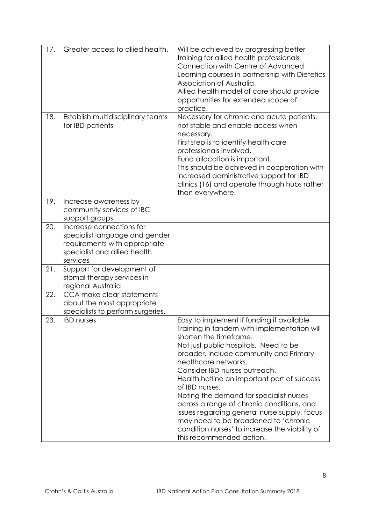| 17. | Greater access to allied health.                                                                                                        | Will be achieved by progressing better<br>training for allied health professionals<br>Connection with Centre of Advanced<br>Learning courses in partnership with Dietetics<br>Association of Australia.<br>Allied health model of care should provide<br>opportunities for extended scope of<br>practice.                                                                                                                                                                                                                                                                                     |
|-----|-----------------------------------------------------------------------------------------------------------------------------------------|-----------------------------------------------------------------------------------------------------------------------------------------------------------------------------------------------------------------------------------------------------------------------------------------------------------------------------------------------------------------------------------------------------------------------------------------------------------------------------------------------------------------------------------------------------------------------------------------------|
| 18. | Establish multidisciplinary teams<br>for IBD patients                                                                                   | Necessary for chronic and acute patients,<br>not stable and enable access when<br>necessary.<br>First step is to identify health care<br>professionals involved.<br>Fund allocation is important.<br>This should be achieved in cooperation with<br>increased administrative support for IBD<br>clinics (16) and operate through hubs rather<br>than everywhere.                                                                                                                                                                                                                              |
| 19. | Increase awareness by<br>community services of IBC<br>support groups                                                                    |                                                                                                                                                                                                                                                                                                                                                                                                                                                                                                                                                                                               |
| 20. | Increase connections for<br>specialist language and gender<br>requirements with appropriate<br>specialist and allied health<br>services |                                                                                                                                                                                                                                                                                                                                                                                                                                                                                                                                                                                               |
| 21. | Support for development of<br>stomal therapy services in<br>regional Australia                                                          |                                                                                                                                                                                                                                                                                                                                                                                                                                                                                                                                                                                               |
| 22. | CCA make clear statements<br>about the most appropriate<br>specialists to perform surgeries.                                            |                                                                                                                                                                                                                                                                                                                                                                                                                                                                                                                                                                                               |
| 23. | <b>IBD</b> nurses                                                                                                                       | Easy to implement if funding if available<br>Training in tandem with implementation will<br>shorten the timeframe.<br>Not just public hospitals. Need to be<br>broader, include community and Primary<br>healthcare networks.<br>Consider IBD nurses outreach.<br>Health hotline an important part of success<br>of IBD nurses.<br>Noting the demand for specialist nurses<br>across a range of chronic conditions, and<br>issues regarding general nurse supply, focus<br>may need to be broadened to 'chronic<br>condition nurses' to increase the viability of<br>this recommended action. |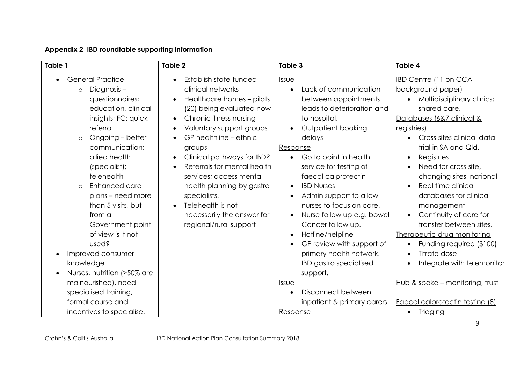| Appendix 2 IBD roundtable supporting information |  |
|--------------------------------------------------|--|
|                                                  |  |

| Table 1                                                                                                                                                                                                                                                                                                                                                                                                                                                                                                      | Table 2                                                                                                                                                                                                                                                                                                                                                                                                                                                                                         | Table 3                                                                                                                                                                                                                                                                                                                                                                                                                                                                                                                 | Table 4                                                                                                                                                                                                                                                                                                                                                                                                                                                                                                                                                                                                                             |
|--------------------------------------------------------------------------------------------------------------------------------------------------------------------------------------------------------------------------------------------------------------------------------------------------------------------------------------------------------------------------------------------------------------------------------------------------------------------------------------------------------------|-------------------------------------------------------------------------------------------------------------------------------------------------------------------------------------------------------------------------------------------------------------------------------------------------------------------------------------------------------------------------------------------------------------------------------------------------------------------------------------------------|-------------------------------------------------------------------------------------------------------------------------------------------------------------------------------------------------------------------------------------------------------------------------------------------------------------------------------------------------------------------------------------------------------------------------------------------------------------------------------------------------------------------------|-------------------------------------------------------------------------------------------------------------------------------------------------------------------------------------------------------------------------------------------------------------------------------------------------------------------------------------------------------------------------------------------------------------------------------------------------------------------------------------------------------------------------------------------------------------------------------------------------------------------------------------|
| <b>General Practice</b><br>Diagnosis-<br>$\circ$<br>questionnaires;<br>education, clinical<br>insights; FC; quick<br>referral<br>Ongoing - better<br>$\circ$<br>communication;<br>allied health<br>(specialist);<br>telehealth<br>Enhanced care<br>$\circ$<br>plans - need more<br>than 5 visits, but<br>from a<br>Government point<br>of view is it not<br>used?<br>Improved consumer<br>$\bullet$<br>knowledge<br>Nurses, nutrition (>50% are<br>$\bullet$<br>malnourished), need<br>specialised training, | Establish state-funded<br>$\bullet$<br>clinical networks<br>Healthcare homes - pilots<br>(20) being evaluated now<br>Chronic illness nursing<br>$\bullet$<br>Voluntary support groups<br>$\bullet$<br>GP healthline - ethnic<br>groups<br>Clinical pathways for IBD?<br>$\bullet$<br>Referrals for mental health<br>$\bullet$<br>services; access mental<br>health planning by gastro<br>specialists.<br>Telehealth is not<br>$\bullet$<br>necessarily the answer for<br>regional/rural support | Issue<br>Lack of communication<br>between appointments<br>leads to deterioration and<br>to hospital.<br>Outpatient booking<br>delays<br>Response<br>Go to point in health<br>service for testing of<br>faecal calprotectin<br><b>IBD Nurses</b><br>Admin support to allow<br>nurses to focus on care.<br>Nurse follow up e.g. bowel<br>Cancer follow up.<br>Hotline/helpline<br>GP review with support of<br>primary health network.<br><b>IBD</b> gastro specialised<br>support.<br><u>Issue</u><br>Disconnect between | <b>IBD Centre (11 on CCA</b><br>background paper)<br>Multidisciplinary clinics;<br>$\bullet$<br>shared care.<br>Databases (6&7 clinical &<br><u>registries)</u><br>Cross-sites clinical data<br>trial in SA and Qld.<br>Registries<br>$\bullet$<br>Need for cross-site,<br>$\bullet$<br>changing sites, national<br>Real time clinical<br>$\bullet$<br>databases for clinical<br>management<br>Continuity of care for<br>$\bullet$<br>transfer between sites.<br>Therapeutic drug monitoring<br>Funding required (\$100)<br>Titrate dose<br>$\bullet$<br>Integrate with telemonitor<br>$\bullet$<br>Hub & spoke - monitoring, trust |
| formal course and<br>incentives to specialise.                                                                                                                                                                                                                                                                                                                                                                                                                                                               |                                                                                                                                                                                                                                                                                                                                                                                                                                                                                                 | inpatient & primary carers<br>Response                                                                                                                                                                                                                                                                                                                                                                                                                                                                                  | Faecal calprotectin testing (8)<br>Triaging                                                                                                                                                                                                                                                                                                                                                                                                                                                                                                                                                                                         |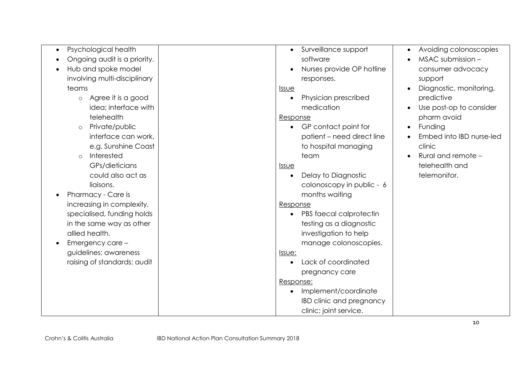| Psychological health          | Surveillance support            | Avoiding colonoscopies<br>$\bullet$  |
|-------------------------------|---------------------------------|--------------------------------------|
| Ongoing audit is a priority.  | software                        | MSAC submission -<br>$\bullet$       |
| Hub and spoke model           | Nurses provide OP hotline       | consumer advocacy                    |
| involving multi-disciplinary  | responses.                      | support                              |
| teams                         | <i><b>Issue</b></i>             | Diagnostic, monitoring,              |
| Agree it is a good<br>$\circ$ | Physician prescribed            | predictive                           |
| idea; interface with          | medication                      | Use post-op to consider<br>$\bullet$ |
| telehealth                    | Response                        | pharm avoid                          |
| Private/public<br>$\circ$     | • GP contact point for          | Funding<br>$\bullet$                 |
| interface can work,           | patient - need direct line      | Embed into IBD nurse-led             |
| e.g. Sunshine Coast           | to hospital managing            | clinic                               |
| Interested<br>$\circ$         | team                            | Rural and remote -<br>$\bullet$      |
| GPs/dieticians                | <b>Issue</b>                    | telehealth and                       |
| could also act as             | Delay to Diagnostic             | telemonitor.                         |
| liaisons.                     | colonoscopy in public - 6       |                                      |
| Pharmacy - Care is            | months waiting                  |                                      |
| increasing in complexity,     | Response                        |                                      |
| specialised, funding holds    | PBS faecal calprotectin         |                                      |
| in the same way as other      | testing as a diagnostic         |                                      |
| allied health.                | investigation to help           |                                      |
| Emergency care -              | manage colonoscopies.           |                                      |
| guidelines; awareness         | <u>Issue:</u>                   |                                      |
| raising of standards; audit   | Lack of coordinated             |                                      |
|                               | pregnancy care                  |                                      |
|                               | Response:                       |                                      |
|                               | Implement/coordinate            |                                      |
|                               | <b>IBD clinic and pregnancy</b> |                                      |
|                               | clinic; joint service.          |                                      |
|                               |                                 |                                      |